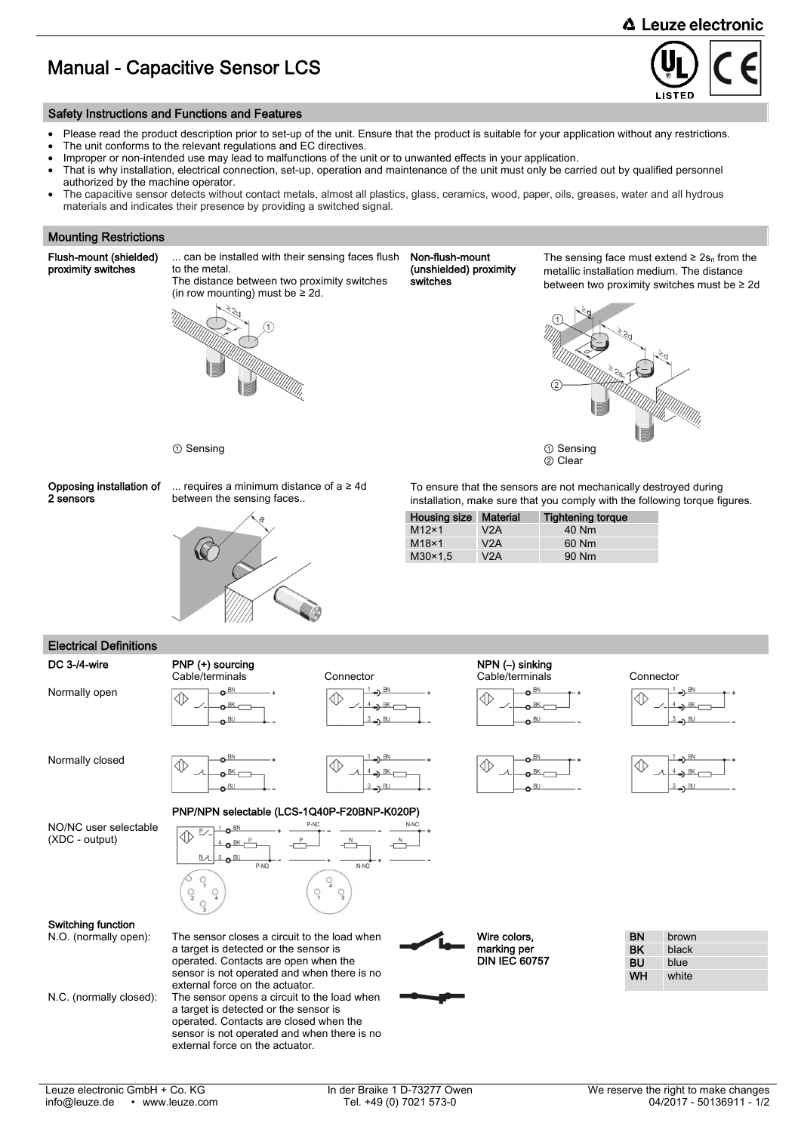### **△ Leuze electronic**

## Manual - Capacitive Sensor LCS



### Safety Instructions and Functions and Features

- Please read the product description prior to set-up of the unit. Ensure that the product is suitable for your application without any restrictions.
- The unit conforms to the relevant regulations and EC directives.
- Improper or non-intended use may lead to malfunctions of the unit or to unwanted effects in your application.
- That is why installation, electrical connection, set-up, operation and maintenance of the unit must only be carried out by qualified personnel authorized by the machine operator.
- The capacitive sensor detects without contact metals, almost all plastics, glass, ceramics, wood, paper, oils, greases, water and all hydrous materials and indicates their presence by providing a switched signal.

#### Mounting Restrictions

Flush-mount (shielded) proximity switches

... can be installed with their sensing faces flush to the metal. The distance between two proximity switches



Non-flush-mount (unshielded) proximity switches

The sensing face must extend  $\geq 2s_n$  from the metallic installation medium. The distance between two proximity switches must be ≥ 2d





Opposing installation of 2 sensors

... requires a minimum distance of a ≥ 4d between the sensing faces..



To ensure that the sensors are not mechanically destroyed during installation, make sure that you comply with the following torque figures.

| . Ĝ | <b>Housing size</b> | <b>Material</b> | <b>Tightening torque</b> |
|-----|---------------------|-----------------|--------------------------|
| P   | $M12\times1$        | V2A             | 40 Nm                    |
|     | $M18\times 1$       | V2A             | 60 Nm                    |
|     | $M30\times1.5$      | V2A             | 90 Nm                    |

# Electrical Definitions